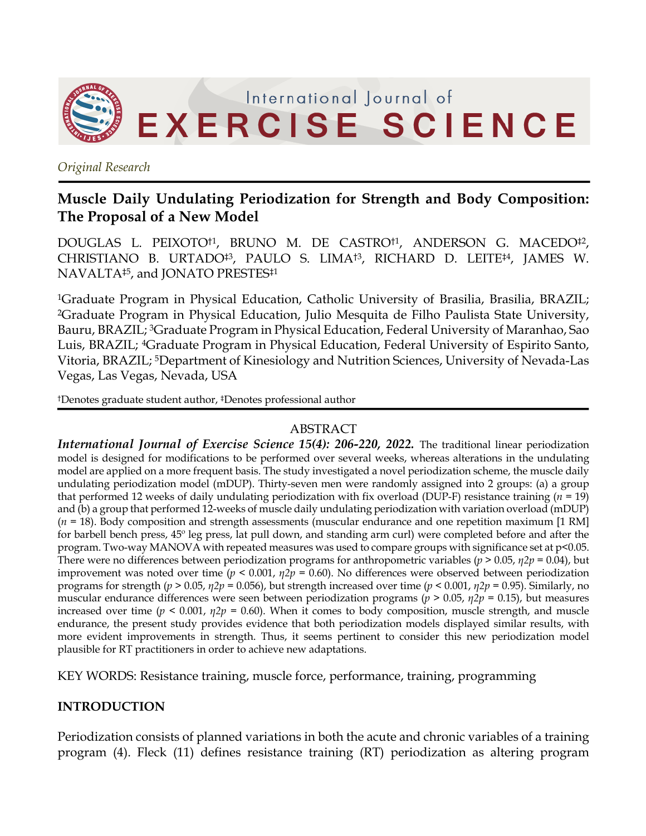

*Original Research*

# **Muscle Daily Undulating Periodization for Strength and Body Composition: The Proposal of a New Model**

DOUGLAS L. PEIXOTO†1, BRUNO M. DE CASTRO†1, ANDERSON G. MACEDO‡2, CHRISTIANO B. URTADO‡3, PAULO S. LIMA†3, RICHARD D. LEITE‡4, JAMES W. NAVALTA‡5, and JONATO PRESTES‡1

1Graduate Program in Physical Education, Catholic University of Brasilia, Brasilia, BRAZIL; 2Graduate Program in Physical Education, Julio Mesquita de Filho Paulista State University, Bauru, BRAZIL; 3Graduate Program in Physical Education, Federal University of Maranhao, Sao Luis, BRAZIL; 4Graduate Program in Physical Education, Federal University of Espirito Santo, Vitoria, BRAZIL; 5Department of Kinesiology and Nutrition Sciences, University of Nevada-Las Vegas, Las Vegas, Nevada, USA

†Denotes graduate student author, ‡Denotes professional author

### ABSTRACT

*International Journal of Exercise Science 15(4): 206-220, 2022.* The traditional linear periodization model is designed for modifications to be performed over several weeks, whereas alterations in the undulating model are applied on a more frequent basis. The study investigated a novel periodization scheme, the muscle daily undulating periodization model (mDUP). Thirty-seven men were randomly assigned into 2 groups: (a) a group that performed 12 weeks of daily undulating periodization with fix overload (DUP-F) resistance training (*n* = 19) and (b) a group that performed 12-weeks of muscle daily undulating periodization with variation overload (mDUP) (*n* = 18). Body composition and strength assessments (muscular endurance and one repetition maximum [1 RM] for barbell bench press, 45º leg press, lat pull down, and standing arm curl) were completed before and after the program. Two-way MANOVA with repeated measures was used to compare groups with significance set at p<0.05. There were no differences between periodization programs for anthropometric variables (*p* > 0.05, *η2p* = 0.04), but improvement was noted over time (*p* < 0.001, *η2p* = 0.60). No differences were observed between periodization programs for strength (*p* > 0.05, *η2p* = 0.056), but strength increased over time (*p* < 0.001, *η2p* = 0.95). Similarly, no muscular endurance differences were seen between periodization programs (*p* > 0.05, *η2p* = 0.15), but measures increased over time ( $p < 0.001$ ,  $\eta 2p = 0.60$ ). When it comes to body composition, muscle strength, and muscle endurance, the present study provides evidence that both periodization models displayed similar results, with more evident improvements in strength. Thus, it seems pertinent to consider this new periodization model plausible for RT practitioners in order to achieve new adaptations.

KEY WORDS: Resistance training, muscle force, performance, training, programming

### **INTRODUCTION**

Periodization consists of planned variations in both the acute and chronic variables of a training program (4). Fleck (11) defines resistance training (RT) periodization as altering program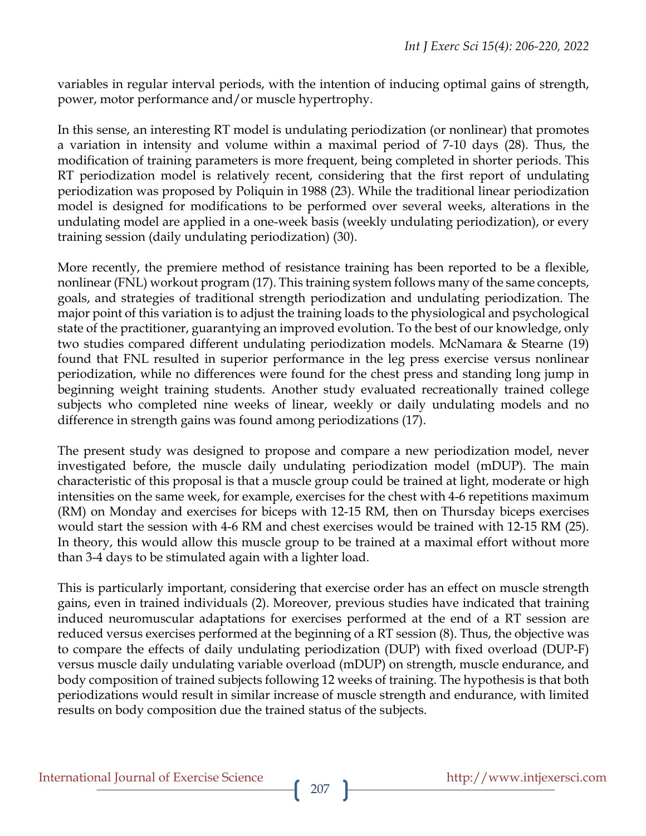variables in regular interval periods, with the intention of inducing optimal gains of strength, power, motor performance and/or muscle hypertrophy.

In this sense, an interesting RT model is undulating periodization (or nonlinear) that promotes a variation in intensity and volume within a maximal period of 7-10 days (28). Thus, the modification of training parameters is more frequent, being completed in shorter periods. This RT periodization model is relatively recent, considering that the first report of undulating periodization was proposed by Poliquin in 1988 (23). While the traditional linear periodization model is designed for modifications to be performed over several weeks, alterations in the undulating model are applied in a one-week basis (weekly undulating periodization), or every training session (daily undulating periodization) (30).

More recently, the premiere method of resistance training has been reported to be a flexible, nonlinear (FNL) workout program (17). This training system follows many of the same concepts, goals, and strategies of traditional strength periodization and undulating periodization. The major point of this variation is to adjust the training loads to the physiological and psychological state of the practitioner, guarantying an improved evolution. To the best of our knowledge, only two studies compared different undulating periodization models. McNamara & Stearne (19) found that FNL resulted in superior performance in the leg press exercise versus nonlinear periodization, while no differences were found for the chest press and standing long jump in beginning weight training students. Another study evaluated recreationally trained college subjects who completed nine weeks of linear, weekly or daily undulating models and no difference in strength gains was found among periodizations (17).

The present study was designed to propose and compare a new periodization model, never investigated before, the muscle daily undulating periodization model (mDUP). The main characteristic of this proposal is that a muscle group could be trained at light, moderate or high intensities on the same week, for example, exercises for the chest with 4-6 repetitions maximum (RM) on Monday and exercises for biceps with 12-15 RM, then on Thursday biceps exercises would start the session with 4-6 RM and chest exercises would be trained with 12-15 RM (25). In theory, this would allow this muscle group to be trained at a maximal effort without more than 3-4 days to be stimulated again with a lighter load.

This is particularly important, considering that exercise order has an effect on muscle strength gains, even in trained individuals (2). Moreover, previous studies have indicated that training induced neuromuscular adaptations for exercises performed at the end of a RT session are reduced versus exercises performed at the beginning of a RT session (8). Thus, the objective was to compare the effects of daily undulating periodization (DUP) with fixed overload (DUP-F) versus muscle daily undulating variable overload (mDUP) on strength, muscle endurance, and body composition of trained subjects following 12 weeks of training. The hypothesis is that both periodizations would result in similar increase of muscle strength and endurance, with limited results on body composition due the trained status of the subjects.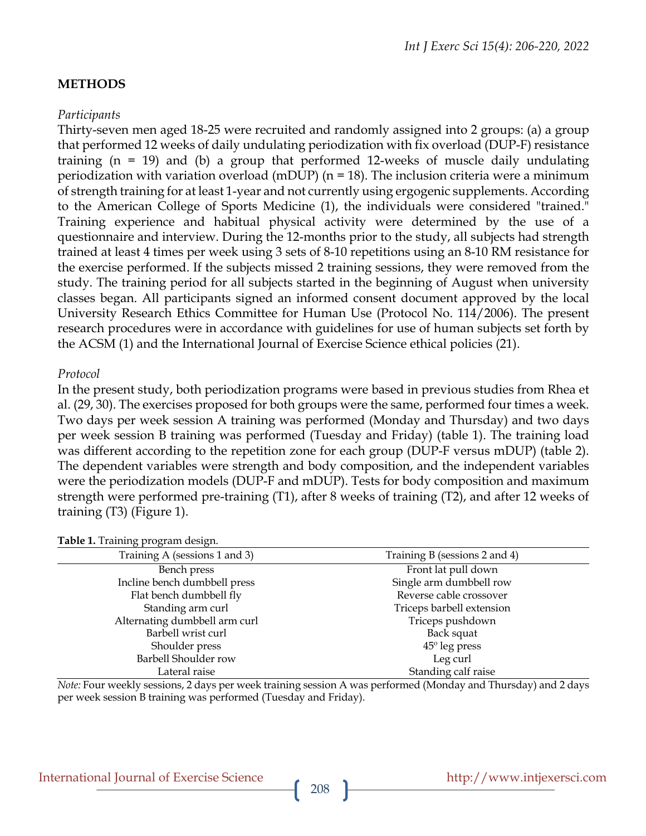### **METHODS**

### *Participants*

Thirty-seven men aged 18-25 were recruited and randomly assigned into 2 groups: (a) a group that performed 12 weeks of daily undulating periodization with fix overload (DUP-F) resistance training (n = 19) and (b) a group that performed 12-weeks of muscle daily undulating periodization with variation overload (mDUP) (n = 18). The inclusion criteria were a minimum of strength training for at least 1-year and not currently using ergogenic supplements. According to the American College of Sports Medicine (1), the individuals were considered "trained." Training experience and habitual physical activity were determined by the use of a questionnaire and interview. During the 12-months prior to the study, all subjects had strength trained at least 4 times per week using 3 sets of 8-10 repetitions using an 8-10 RM resistance for the exercise performed. If the subjects missed 2 training sessions, they were removed from the study. The training period for all subjects started in the beginning of August when university classes began. All participants signed an informed consent document approved by the local University Research Ethics Committee for Human Use (Protocol No. 114/2006). The present research procedures were in accordance with guidelines for use of human subjects set forth by the ACSM (1) and the International Journal of Exercise Science ethical policies (21).

#### *Protocol*

In the present study, both periodization programs were based in previous studies from Rhea et al. (29, 30). The exercises proposed for both groups were the same, performed four times a week. Two days per week session A training was performed (Monday and Thursday) and two days per week session B training was performed (Tuesday and Friday) (table 1). The training load was different according to the repetition zone for each group (DUP-F versus mDUP) (table 2). The dependent variables were strength and body composition, and the independent variables were the periodization models (DUP-F and mDUP). Tests for body composition and maximum strength were performed pre-training (T1), after 8 weeks of training (T2), and after 12 weeks of training (T3) (Figure 1).

| Training B (sessions 2 and 4) |
|-------------------------------|
| Front lat pull down           |
| Single arm dumbbell row       |
| Reverse cable crossover       |
| Triceps barbell extension     |
| Triceps pushdown              |
| Back squat                    |
| $45^{\circ}$ leg press        |
| Leg curl                      |
| Standing calf raise           |
|                               |

**Table 1.** Training program design.

*Note:* Four weekly sessions, 2 days per week training session A was performed (Monday and Thursday) and 2 days per week session B training was performed (Tuesday and Friday).

# International Journal of Exercise Science http://www.intjexersci.com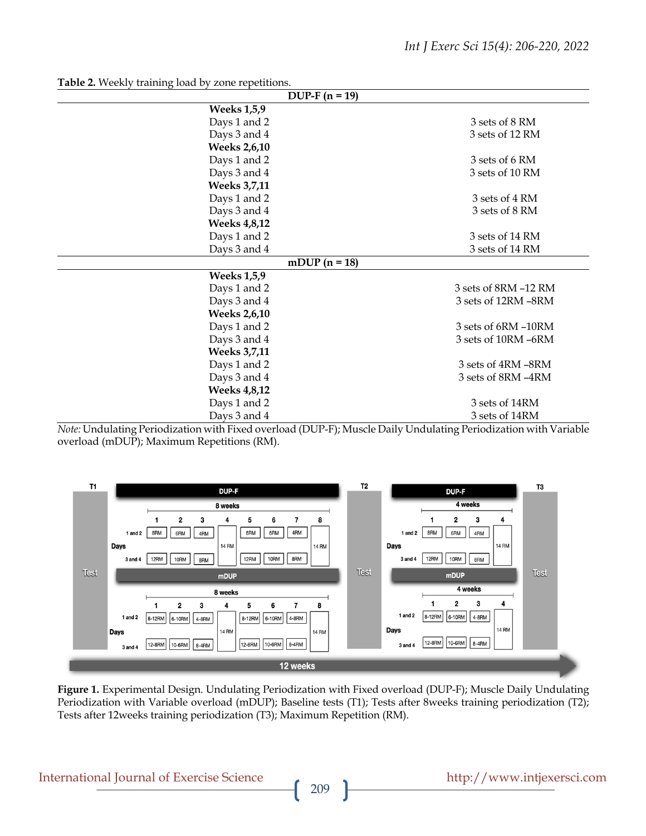| $DUP-F (n = 19)$                  |                      |  |  |  |  |  |
|-----------------------------------|----------------------|--|--|--|--|--|
| <b>Weeks 1,5,9</b>                |                      |  |  |  |  |  |
| Days 1 and 2                      | 3 sets of 8 RM       |  |  |  |  |  |
| Days 3 and 4                      | 3 sets of 12 RM      |  |  |  |  |  |
| <b>Weeks 2,6,10</b>               |                      |  |  |  |  |  |
| Days 1 and 2                      | 3 sets of 6 RM       |  |  |  |  |  |
| Days 3 and 4                      | 3 sets of 10 RM      |  |  |  |  |  |
| <b>Weeks 3,7,11</b>               |                      |  |  |  |  |  |
| Days 1 and 2                      | 3 sets of 4 RM       |  |  |  |  |  |
| Days 3 and 4                      | 3 sets of 8 RM       |  |  |  |  |  |
| <b>Weeks 4,8,12</b>               |                      |  |  |  |  |  |
| Days 1 and 2                      | 3 sets of 14 RM      |  |  |  |  |  |
| Days 3 and 4                      | 3 sets of 14 RM      |  |  |  |  |  |
| $\overline{\text{m}DUP}$ (n = 18) |                      |  |  |  |  |  |
| <b>Weeks 1,5,9</b>                |                      |  |  |  |  |  |
| Days 1 and 2                      | 3 sets of 8RM -12 RM |  |  |  |  |  |
| Days 3 and 4                      | 3 sets of 12RM-8RM   |  |  |  |  |  |
| <b>Weeks 2,6,10</b>               |                      |  |  |  |  |  |
| Days 1 and 2                      | 3 sets of 6RM -10RM  |  |  |  |  |  |
| Days 3 and 4                      | 3 sets of 10RM-6RM   |  |  |  |  |  |
| <b>Weeks 3,7,11</b>               |                      |  |  |  |  |  |
| Days 1 and 2                      | 3 sets of 4RM-8RM    |  |  |  |  |  |
| Days 3 and 4                      | 3 sets of 8RM -4RM   |  |  |  |  |  |
| <b>Weeks 4,8,12</b>               |                      |  |  |  |  |  |
| Days 1 and 2                      | 3 sets of 14RM       |  |  |  |  |  |
| Days 3 and 4                      | 3 sets of 14RM       |  |  |  |  |  |

**Table 2.** Weekly training load by zone repetitions.

*Note:* Undulating Periodization with Fixed overload (DUP-F); Muscle Daily Undulating Periodization with Variable overload (mDUP); Maximum Repetitions (RM).



**Figure 1.** Experimental Design. Undulating Periodization with Fixed overload (DUP-F); Muscle Daily Undulating Periodization with Variable overload (mDUP); Baseline tests (T1); Tests after 8weeks training periodization (T2); Tests after 12weeks training periodization (T3); Maximum Repetition (RM).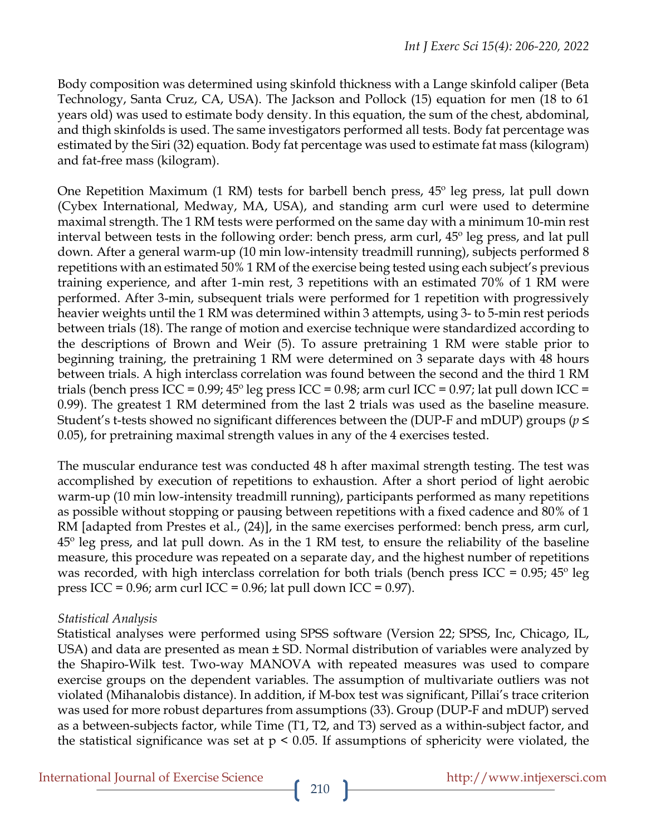Body composition was determined using skinfold thickness with a Lange skinfold caliper (Beta Technology, Santa Cruz, CA, USA). The Jackson and Pollock (15) equation for men (18 to 61 years old) was used to estimate body density. In this equation, the sum of the chest, abdominal, and thigh skinfolds is used. The same investigators performed all tests. Body fat percentage was estimated by the Siri (32) equation. Body fat percentage was used to estimate fat mass (kilogram) and fat-free mass (kilogram).

One Repetition Maximum (1 RM) tests for barbell bench press, 45º leg press, lat pull down (Cybex International, Medway, MA, USA), and standing arm curl were used to determine maximal strength. The 1 RM tests were performed on the same day with a minimum 10-min rest interval between tests in the following order: bench press, arm curl, 45º leg press, and lat pull down. After a general warm-up (10 min low-intensity treadmill running), subjects performed 8 repetitions with an estimated 50% 1 RM of the exercise being tested using each subject's previous training experience, and after 1-min rest, 3 repetitions with an estimated 70% of 1 RM were performed. After 3-min, subsequent trials were performed for 1 repetition with progressively heavier weights until the 1 RM was determined within 3 attempts, using 3- to 5-min rest periods between trials (18). The range of motion and exercise technique were standardized according to the descriptions of Brown and Weir (5). To assure pretraining 1 RM were stable prior to beginning training, the pretraining 1 RM were determined on 3 separate days with 48 hours between trials. A high interclass correlation was found between the second and the third 1 RM trials (bench press ICC =  $0.99$ ;  $45^{\circ}$  leg press ICC =  $0.98$ ; arm curl ICC =  $0.97$ ; lat pull down ICC = 0.99). The greatest 1 RM determined from the last 2 trials was used as the baseline measure. Student's t-tests showed no significant differences between the (DUP-F and mDUP) groups (*p* ≤ 0.05), for pretraining maximal strength values in any of the 4 exercises tested.

The muscular endurance test was conducted 48 h after maximal strength testing. The test was accomplished by execution of repetitions to exhaustion. After a short period of light aerobic warm-up (10 min low-intensity treadmill running), participants performed as many repetitions as possible without stopping or pausing between repetitions with a fixed cadence and 80% of 1 RM [adapted from Prestes et al., (24)], in the same exercises performed: bench press, arm curl, 45<sup>°</sup> leg press, and lat pull down. As in the 1 RM test, to ensure the reliability of the baseline measure, this procedure was repeated on a separate day, and the highest number of repetitions was recorded, with high interclass correlation for both trials (bench press ICC =  $0.95$ ; 45<sup>o</sup> leg press ICC =  $0.96$ ; arm curl ICC =  $0.96$ ; lat pull down ICC =  $0.97$ ).

## *Statistical Analysis*

Statistical analyses were performed using SPSS software (Version 22; SPSS, Inc, Chicago, IL, USA) and data are presented as mean  $\pm$  SD. Normal distribution of variables were analyzed by the Shapiro-Wilk test. Two-way MANOVA with repeated measures was used to compare exercise groups on the dependent variables. The assumption of multivariate outliers was not violated (Mihanalobis distance). In addition, if M-box test was significant, Pillai's trace criterion was used for more robust departures from assumptions (33). Group (DUP-F and mDUP) served as a between-subjects factor, while Time (T1, T2, and T3) served as a within-subject factor, and the statistical significance was set at  $p < 0.05$ . If assumptions of sphericity were violated, the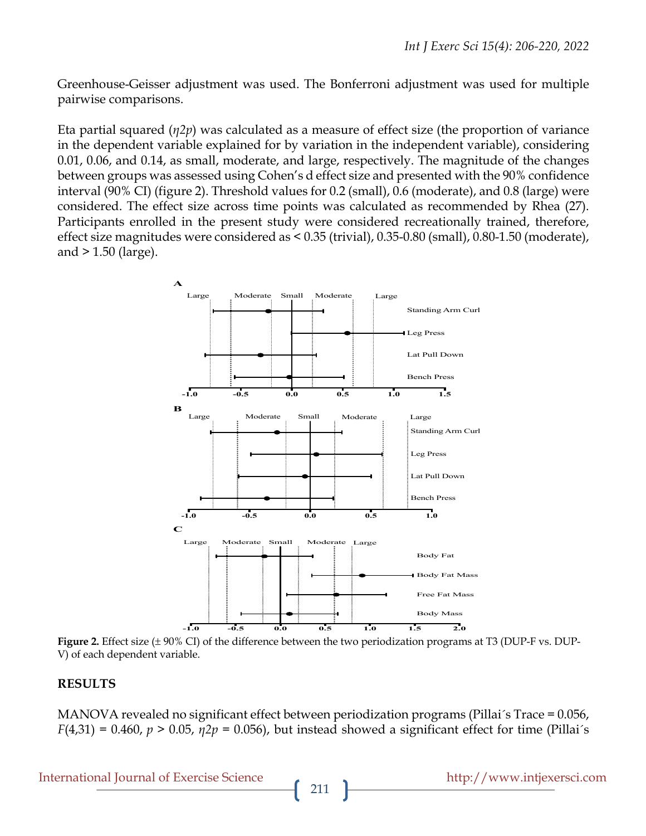Greenhouse-Geisser adjustment was used. The Bonferroni adjustment was used for multiple pairwise comparisons.

Eta partial squared (*η2p*) was calculated as a measure of effect size (the proportion of variance in the dependent variable explained for by variation in the independent variable), considering 0.01, 0.06, and 0.14, as small, moderate, and large, respectively. The magnitude of the changes between groups was assessed using Cohen's d effect size and presented with the 90% confidence interval (90% CI) (figure 2). Threshold values for 0.2 (small), 0.6 (moderate), and 0.8 (large) were considered. The effect size across time points was calculated as recommended by Rhea (27). Participants enrolled in the present study were considered recreationally trained, therefore, effect size magnitudes were considered as < 0.35 (trivial), 0.35-0.80 (small), 0.80-1.50 (moderate), and > 1.50 (large).



**Figure 2.** Effect size (± 90% CI) of the difference between the two periodization programs at T3 (DUP-F vs. DUP-V) of each dependent variable.

### **RESULTS**

MANOVA revealed no significant effect between periodization programs (Pillai´s Trace = 0.056, *F*(4,31) = 0.460, *p* > 0.05, *η2p* = 0.056), but instead showed a significant effect for time (Pillai´s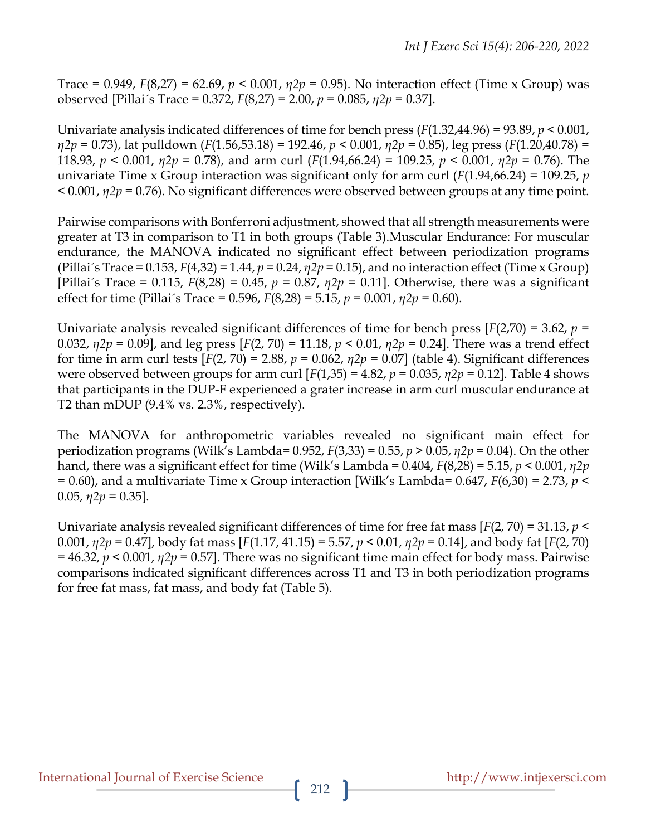Trace = 0.949, *F*(8,27) = 62.69, *p* < 0.001, *η2p* = 0.95). No interaction effect (Time x Group) was observed [Pillai´s Trace = 0.372, *F*(8,27) = 2.00, *p* = 0.085, *η2p* = 0.37].

Univariate analysis indicated differences of time for bench press (*F*(1.32,44.96) = 93.89, *p* < 0.001, *η2p* = 0.73), lat pulldown (*F*(1.56,53.18) = 192.46, *p* < 0.001, *η2p* = 0.85), leg press (*F*(1.20,40.78) = 118.93, *p* < 0.001, *η2p* = 0.78), and arm curl (*F*(1.94,66.24) = 109.25, *p* < 0.001, *η2p* = 0.76). The univariate Time x Group interaction was significant only for arm curl (*F*(1.94,66.24) = 109.25, *p* < 0.001, *η2p* = 0.76). No significant differences were observed between groups at any time point.

Pairwise comparisons with Bonferroni adjustment, showed that all strength measurements were greater at T3 in comparison to T1 in both groups (Table 3).Muscular Endurance: For muscular endurance, the MANOVA indicated no significant effect between periodization programs (Pillai´s Trace = 0.153, *F*(4,32) = 1.44, *p* = 0.24, *η2p* = 0.15), and no interaction effect (Time x Group) [Pillai´s Trace = 0.115, *F*(8,28) = 0.45, *p* = 0.87, *η2p* = 0.11]. Otherwise, there was a significant effect for time (Pillai´s Trace = 0.596, *F*(8,28) = 5.15, *p* = 0.001, *η2p* = 0.60).

Univariate analysis revealed significant differences of time for bench press [*F*(2,70) = 3.62, *p* = 0.032, *η2p* = 0.09], and leg press [*F*(2, 70) = 11.18, *p* < 0.01, *η2p* = 0.24]. There was a trend effect for time in arm curl tests [*F*(2, 70) = 2.88, *p* = 0.062, *η2p* = 0.07] (table 4). Significant differences were observed between groups for arm curl  $[F(1,35) = 4.82, p = 0.035, \eta 2p = 0.12]$ . Table 4 shows that participants in the DUP-F experienced a grater increase in arm curl muscular endurance at T2 than mDUP (9.4% vs. 2.3%, respectively).

The MANOVA for anthropometric variables revealed no significant main effect for periodization programs (Wilk's Lambda= 0.952, *F*(3,33) = 0.55, *p* > 0.05, *η2p* = 0.04). On the other hand, there was a significant effect for time (Wilk's Lambda = 0.404, *F*(8,28) = 5.15, *p* < 0.001, *η2p* = 0.60), and a multivariate Time x Group interaction [Wilk's Lambda= 0.647, *F*(6,30) = 2.73, *p* < 0.05, *η2p* = 0.35].

Univariate analysis revealed significant differences of time for free fat mass [*F*(2, 70) = 31.13, *p* < 0.001, *η2p* = 0.47], body fat mass [*F*(1.17, 41.15) = 5.57, *p* < 0.01, *η2p* = 0.14], and body fat [*F*(2, 70)  $= 46.32, p \le 0.001, \eta 2p = 0.57$ . There was no significant time main effect for body mass. Pairwise comparisons indicated significant differences across T1 and T3 in both periodization programs for free fat mass, fat mass, and body fat (Table 5).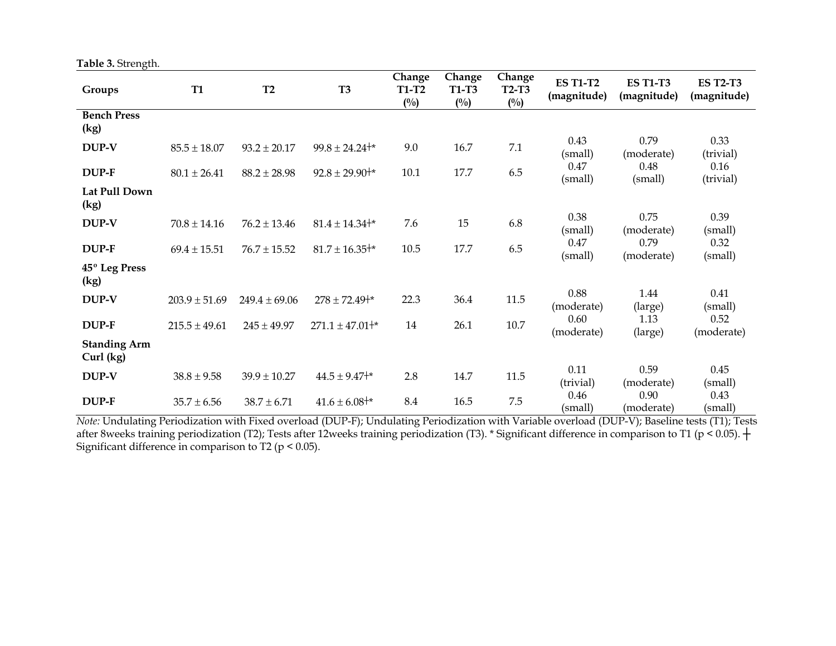| Table 3. Strength. |  |  |  |
|--------------------|--|--|--|
|--------------------|--|--|--|

| Groups                           | <b>T1</b>         | T2                | T <sub>3</sub>         | Change<br><b>T1-T2</b><br>$(^{0}/_{0})$ | Change<br><b>T1-T3</b><br>$\binom{0}{0}$ | Change<br>$T2-T3$<br>$(^{0}/_{0})$ | <b>ES T1-T2</b><br>(magnitude) | <b>ES T1-T3</b><br>(magnitude) | <b>ES T2-T3</b><br>(magnitude) |
|----------------------------------|-------------------|-------------------|------------------------|-----------------------------------------|------------------------------------------|------------------------------------|--------------------------------|--------------------------------|--------------------------------|
| <b>Bench Press</b><br>(kg)       |                   |                   |                        |                                         |                                          |                                    |                                |                                |                                |
| DUP-V                            | $85.5 \pm 18.07$  | $93.2 \pm 20.17$  | $99.8 \pm 24.24^{+*}$  | 9.0                                     | 16.7                                     | 7.1                                | 0.43<br>(small)                | 0.79<br>(moderate)             | 0.33<br>(trivial)              |
| DUP-F                            | $80.1 \pm 26.41$  | $88.2 \pm 28.98$  | $92.8 \pm 29.90^{+*}$  | 10.1                                    | 17.7                                     | 6.5                                | 0.47<br>(small)                | 0.48<br>(small)                | 0.16<br>(trivial)              |
| Lat Pull Down<br>(kg)            |                   |                   |                        |                                         |                                          |                                    |                                |                                |                                |
| DUP-V                            | $70.8 \pm 14.16$  | $76.2 \pm 13.46$  | $81.4 \pm 14.34^{+*}$  | 7.6                                     | 15                                       | 6.8                                | 0.38<br>(small)                | 0.75<br>(moderate)             | 0.39<br>(small)                |
| DUP-F                            | $69.4 \pm 15.51$  | $76.7 \pm 15.52$  | $81.7 \pm 16.35^{+*}$  | 10.5                                    | 17.7                                     | 6.5                                | 0.47<br>(small)                | 0.79<br>(moderate)             | 0.32<br>(small)                |
| 45° Leg Press<br>(kg)            |                   |                   |                        |                                         |                                          |                                    |                                |                                |                                |
| DUP-V                            | $203.9 \pm 51.69$ | $249.4 \pm 69.06$ | $278 \pm 72.49^{+*}$   | 22.3                                    | 36.4                                     | 11.5                               | 0.88<br>(moderate)             | 1.44<br>(large)                | 0.41<br>(small)                |
| DUP-F                            | $215.5 \pm 49.61$ | $245 \pm 49.97$   | $271.1 \pm 47.01^{+*}$ | 14                                      | 26.1                                     | 10.7                               | 0.60<br>(moderate)             | 1.13<br>(large)                | 0.52<br>(moderate)             |
| <b>Standing Arm</b><br>Curl (kg) |                   |                   |                        |                                         |                                          |                                    |                                |                                |                                |
| DUP-V                            | $38.8 \pm 9.58$   | $39.9 \pm 10.27$  | $44.5 \pm 9.47^{+*}$   | 2.8                                     | 14.7                                     | 11.5                               | 0.11<br>(trivial)              | 0.59<br>(moderate)             | 0.45<br>(small)                |
| DUP-F                            | $35.7 \pm 6.56$   | $38.7 \pm 6.71$   | $41.6 \pm 6.08^{+*}$   | 8.4                                     | 16.5                                     | 7.5                                | 0.46<br>(small)                | 0.90<br>(moderate)             | 0.43<br>(small)                |

*Note:* Undulating Periodization with Fixed overload (DUP-F); Undulating Periodization with Variable overload (DUP-V); Baseline tests (T1); Tests after 8weeks training periodization (T2); Tests after 12weeks training periodization (T3). \* Significant difference in comparison to T1 (p < 0.05).  $+$ Significant difference in comparison to T2 ( $p < 0.05$ ).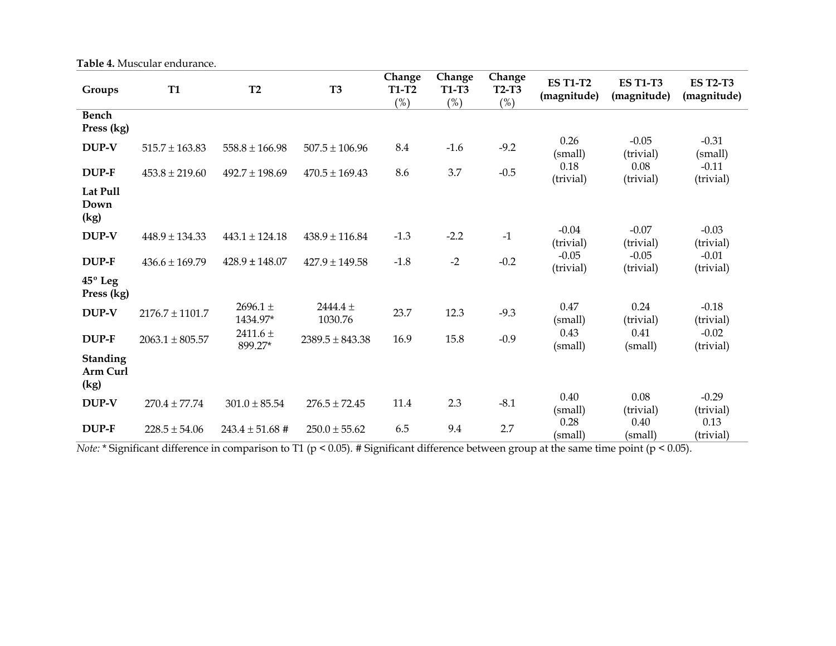**Table 4.** Muscular endurance.

| Groups                              | <b>T1</b>           | T2                       | <b>T3</b>             | Change<br><b>T1-T2</b><br>(%) | Change<br><b>T1-T3</b><br>(%) | Change<br>$T2-T3$<br>(%) | <b>ES T1-T2</b><br>(magnitude) | <b>ES T1-T3</b><br>(magnitude) | <b>ES T2-T3</b><br>(magnitude) |
|-------------------------------------|---------------------|--------------------------|-----------------------|-------------------------------|-------------------------------|--------------------------|--------------------------------|--------------------------------|--------------------------------|
| <b>Bench</b><br>Press (kg)          |                     |                          |                       |                               |                               |                          |                                |                                |                                |
| DUP-V                               | $515.7 \pm 163.83$  | $558.8 \pm 166.98$       | $507.5 \pm 106.96$    | 8.4                           | $-1.6$                        | $-9.2$                   | 0.26<br>(small)                | $-0.05$<br>(trivial)           | $-0.31$<br>(small)             |
| DUP-F                               | $453.8 \pm 219.60$  | $492.7 \pm 198.69$       | $470.5 \pm 169.43$    | 8.6                           | 3.7                           | $-0.5$                   | 0.18<br>(trivial)              | 0.08<br>(trivial)              | $-0.11$<br>(trivial)           |
| Lat Pull<br>Down<br>(kg)            |                     |                          |                       |                               |                               |                          |                                |                                |                                |
| DUP-V                               | $448.9 \pm 134.33$  | $443.1 \pm 124.18$       | $438.9 \pm 116.84$    | $-1.3$                        | $-2.2$                        | $-1$                     | $-0.04$<br>(trivial)           | $-0.07$<br>(trivial)           | $-0.03$<br>(trivial)           |
| DUP-F                               | $436.6 \pm 169.79$  | $428.9 \pm 148.07$       | $427.9 \pm 149.58$    | $-1.8$                        | $-2$                          | $-0.2$                   | $-0.05$<br>(trivial)           | $-0.05$<br>(trivial)           | $-0.01$<br>(trivial)           |
| 45° Leg<br>Press (kg)               |                     |                          |                       |                               |                               |                          |                                |                                |                                |
| DUP-V                               | $2176.7 \pm 1101.7$ | $2696.1 \pm$<br>1434.97* | $2444.4 +$<br>1030.76 | 23.7                          | 12.3                          | $-9.3$                   | 0.47<br>(small)                | 0.24<br>(trivial)              | $-0.18$<br>(trivial)           |
| DUP-F                               | $2063.1 \pm 805.57$ | 2411.6 $\pm$<br>899.27*  | $2389.5 \pm 843.38$   | 16.9                          | 15.8                          | $-0.9$                   | 0.43<br>(small)                | 0.41<br>(small)                | $-0.02$<br>(trivial)           |
| <b>Standing</b><br>Arm Curl<br>(kg) |                     |                          |                       |                               |                               |                          |                                |                                |                                |
| DUP-V                               | $270.4 \pm 77.74$   | $301.0 \pm 85.54$        | $276.5 \pm 72.45$     | 11.4                          | 2.3                           | $-8.1$                   | 0.40<br>(small)                | 0.08<br>(trivial)              | $-0.29$<br>(trivial)           |
| DUP-F                               | $228.5 \pm 54.06$   | $243.4 \pm 51.68$ #      | $250.0 \pm 55.62$     | 6.5                           | 9.4                           | 2.7                      | 0.28<br>(small)                | 0.40<br>(small)                | 0.13<br>(trivial)              |

*Note:* \* Significant difference in comparison to T1 (p < 0.05). # Significant difference between group at the same time point (p < 0.05).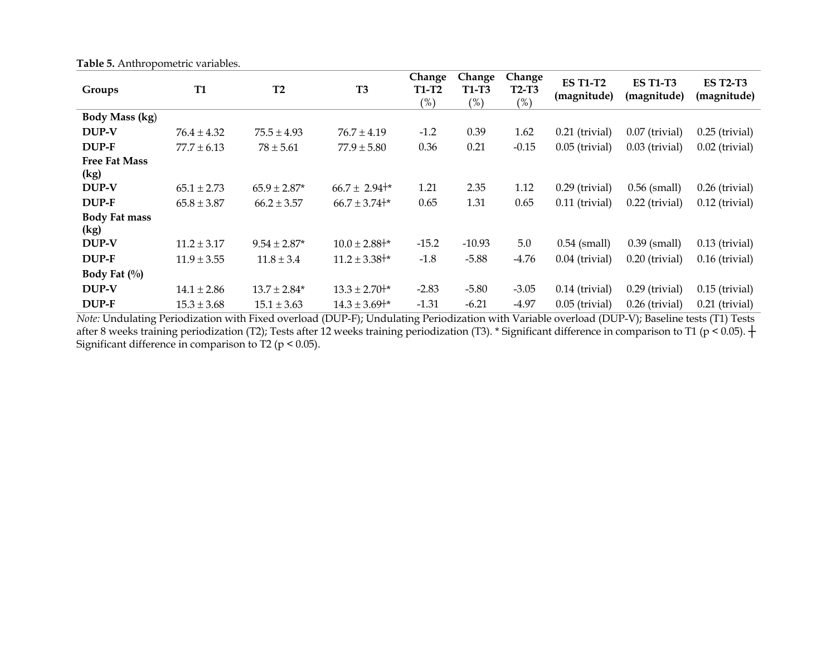| Groups               | <b>T1</b>       | T2               | T <sub>3</sub>       | Change              | Change                 | Change          | <b>ES T1-T2</b><br>(magnitude) | <b>ES T1-T3</b><br>(magnitude) | <b>ES T2-T3</b><br>(magnitude) |
|----------------------|-----------------|------------------|----------------------|---------------------|------------------------|-----------------|--------------------------------|--------------------------------|--------------------------------|
|                      |                 |                  |                      | <b>T1-T2</b><br>(%) | <b>T1-T3</b><br>$(\%)$ | T2-T3<br>$(\%)$ |                                |                                |                                |
| Body Mass (kg)       |                 |                  |                      |                     |                        |                 |                                |                                |                                |
| DUP-V                | $76.4 \pm 4.32$ | $75.5 \pm 4.93$  | $76.7 \pm 4.19$      | $-1.2$              | 0.39                   | 1.62            | $0.21$ (trivial)               | $0.07$ (trivial)               | $0.25$ (trivial)               |
| DUP-F                | $77.7 \pm 6.13$ | $78 \pm 5.61$    | $77.9 \pm 5.80$      | 0.36                | 0.21                   | $-0.15$         | $0.05$ (trivial)               | $0.03$ (trivial)               | $0.02$ (trivial)               |
| <b>Free Fat Mass</b> |                 |                  |                      |                     |                        |                 |                                |                                |                                |
| (kg)                 |                 |                  |                      |                     |                        |                 |                                |                                |                                |
| DUP-V                | $65.1 \pm 2.73$ | $65.9 \pm 2.87*$ | $66.7 \pm 2.94^{+*}$ | 1.21                | 2.35                   | 1.12            | $0.29$ (trivial)               | $0.56$ (small)                 | $0.26$ (trivial)               |
| DUP-F                | $65.8 \pm 3.87$ | $66.2 \pm 3.57$  | $66.7 \pm 3.74^{+*}$ | 0.65                | 1.31                   | 0.65            | $0.11$ (trivial)               | $0.22$ (trivial)               | $0.12$ (trivial)               |
| <b>Body Fat mass</b> |                 |                  |                      |                     |                        |                 |                                |                                |                                |
| (kg)                 |                 |                  |                      |                     |                        |                 |                                |                                |                                |
| DUP-V                | $11.2 \pm 3.17$ | $9.54 \pm 2.87*$ | $10.0 \pm 2.88^{+*}$ | $-15.2$             | $-10.93$               | 5.0             | $0.54$ (small)                 | $0.39$ (small)                 | $0.13$ (trivial)               |
| DUP-F                | $11.9 \pm 3.55$ | $11.8 \pm 3.4$   | $11.2 \pm 3.38^{+*}$ | $-1.8$              | $-5.88$                | $-4.76$         | $0.04$ (trivial)               | $0.20$ (trivial)               | $0.16$ (trivial)               |
| Body Fat $(\%)$      |                 |                  |                      |                     |                        |                 |                                |                                |                                |
| DUP-V                | $14.1 \pm 2.86$ | $13.7 \pm 2.84*$ | $13.3 \pm 2.70^{+*}$ | $-2.83$             | $-5.80$                | $-3.05$         | $0.14$ (trivial)               | $0.29$ (trivial)               | $0.15$ (trivial)               |
| DUP-F                | $15.3 \pm 3.68$ | $15.1 \pm 3.63$  | $14.3 \pm 3.69^{+*}$ | $-1.31$             | $-6.21$                | $-4.97$         | $0.05$ (trivial)               | $0.26$ (trivial)               | $0.21$ (trivial)               |

**Table 5.** Anthropometric variables.

*Note:* Undulating Periodization with Fixed overload (DUP-F); Undulating Periodization with Variable overload (DUP-V); Baseline tests (T1) Tests after 8 weeks training periodization (T2); Tests after 12 weeks training periodization (T3). \* Significant difference in comparison to T1 (p < 0.05).  $+$ Significant difference in comparison to T2 ( $p < 0.05$ ).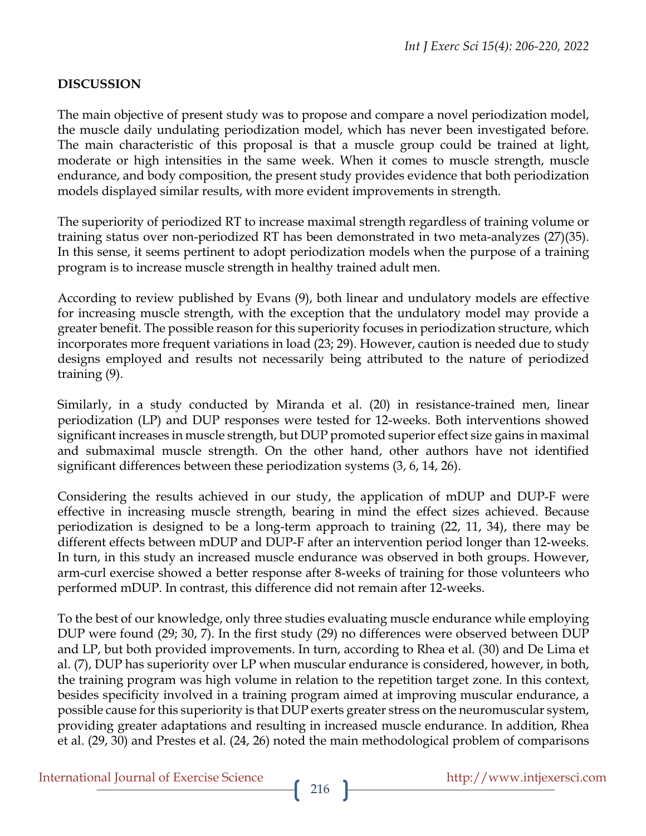### **DISCUSSION**

The main objective of present study was to propose and compare a novel periodization model, the muscle daily undulating periodization model, which has never been investigated before. The main characteristic of this proposal is that a muscle group could be trained at light, moderate or high intensities in the same week. When it comes to muscle strength, muscle endurance, and body composition, the present study provides evidence that both periodization models displayed similar results, with more evident improvements in strength.

The superiority of periodized RT to increase maximal strength regardless of training volume or training status over non-periodized RT has been demonstrated in two meta-analyzes (27)(35). In this sense, it seems pertinent to adopt periodization models when the purpose of a training program is to increase muscle strength in healthy trained adult men.

According to review published by Evans (9), both linear and undulatory models are effective for increasing muscle strength, with the exception that the undulatory model may provide a greater benefit. The possible reason for this superiority focuses in periodization structure, which incorporates more frequent variations in load (23; 29). However, caution is needed due to study designs employed and results not necessarily being attributed to the nature of periodized training (9).

Similarly, in a study conducted by Miranda et al. (20) in resistance-trained men, linear periodization (LP) and DUP responses were tested for 12-weeks. Both interventions showed significant increases in muscle strength, but DUP promoted superior effect size gains in maximal and submaximal muscle strength. On the other hand, other authors have not identified significant differences between these periodization systems (3, 6, 14, 26).

Considering the results achieved in our study, the application of mDUP and DUP-F were effective in increasing muscle strength, bearing in mind the effect sizes achieved. Because periodization is designed to be a long-term approach to training (22, 11, 34), there may be different effects between mDUP and DUP-F after an intervention period longer than 12-weeks. In turn, in this study an increased muscle endurance was observed in both groups. However, arm-curl exercise showed a better response after 8-weeks of training for those volunteers who performed mDUP. In contrast, this difference did not remain after 12-weeks.

To the best of our knowledge, only three studies evaluating muscle endurance while employing DUP were found (29; 30, 7). In the first study (29) no differences were observed between DUP and LP, but both provided improvements. In turn, according to Rhea et al. (30) and De Lima et al. (7), DUP has superiority over LP when muscular endurance is considered, however, in both, the training program was high volume in relation to the repetition target zone. In this context, besides specificity involved in a training program aimed at improving muscular endurance, a possible cause for this superiority is that DUP exerts greater stress on the neuromuscular system, providing greater adaptations and resulting in increased muscle endurance. In addition, Rhea et al. (29, 30) and Prestes et al. (24, 26) noted the main methodological problem of comparisons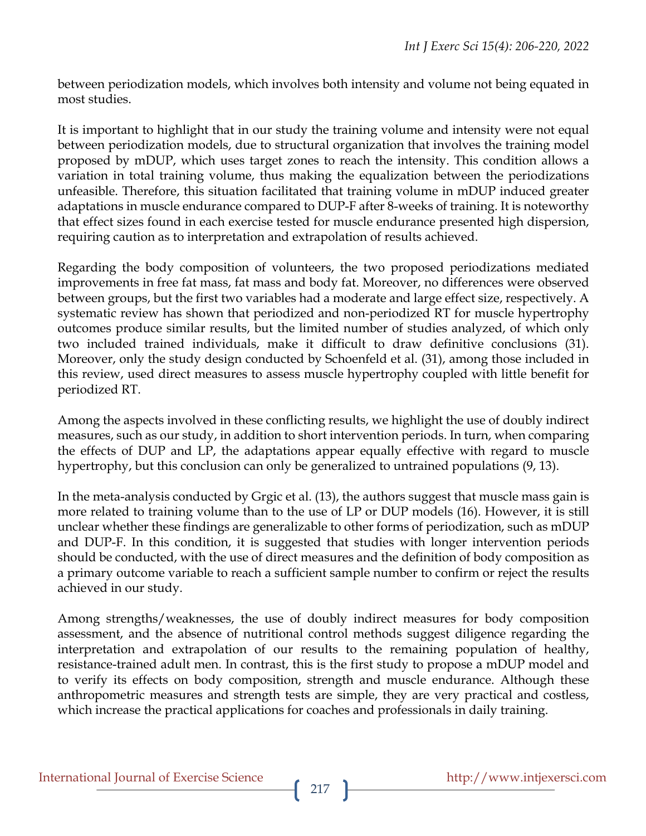between periodization models, which involves both intensity and volume not being equated in most studies.

It is important to highlight that in our study the training volume and intensity were not equal between periodization models, due to structural organization that involves the training model proposed by mDUP, which uses target zones to reach the intensity. This condition allows a variation in total training volume, thus making the equalization between the periodizations unfeasible. Therefore, this situation facilitated that training volume in mDUP induced greater adaptations in muscle endurance compared to DUP-F after 8-weeks of training. It is noteworthy that effect sizes found in each exercise tested for muscle endurance presented high dispersion, requiring caution as to interpretation and extrapolation of results achieved.

Regarding the body composition of volunteers, the two proposed periodizations mediated improvements in free fat mass, fat mass and body fat. Moreover, no differences were observed between groups, but the first two variables had a moderate and large effect size, respectively. A systematic review has shown that periodized and non-periodized RT for muscle hypertrophy outcomes produce similar results, but the limited number of studies analyzed, of which only two included trained individuals, make it difficult to draw definitive conclusions (31). Moreover, only the study design conducted by Schoenfeld et al. (31), among those included in this review, used direct measures to assess muscle hypertrophy coupled with little benefit for periodized RT.

Among the aspects involved in these conflicting results, we highlight the use of doubly indirect measures, such as our study, in addition to short intervention periods. In turn, when comparing the effects of DUP and LP, the adaptations appear equally effective with regard to muscle hypertrophy, but this conclusion can only be generalized to untrained populations (9, 13).

In the meta-analysis conducted by Grgic et al. (13), the authors suggest that muscle mass gain is more related to training volume than to the use of LP or DUP models (16). However, it is still unclear whether these findings are generalizable to other forms of periodization, such as mDUP and DUP-F. In this condition, it is suggested that studies with longer intervention periods should be conducted, with the use of direct measures and the definition of body composition as a primary outcome variable to reach a sufficient sample number to confirm or reject the results achieved in our study.

Among strengths/weaknesses, the use of doubly indirect measures for body composition assessment, and the absence of nutritional control methods suggest diligence regarding the interpretation and extrapolation of our results to the remaining population of healthy, resistance-trained adult men. In contrast, this is the first study to propose a mDUP model and to verify its effects on body composition, strength and muscle endurance. Although these anthropometric measures and strength tests are simple, they are very practical and costless, which increase the practical applications for coaches and professionals in daily training.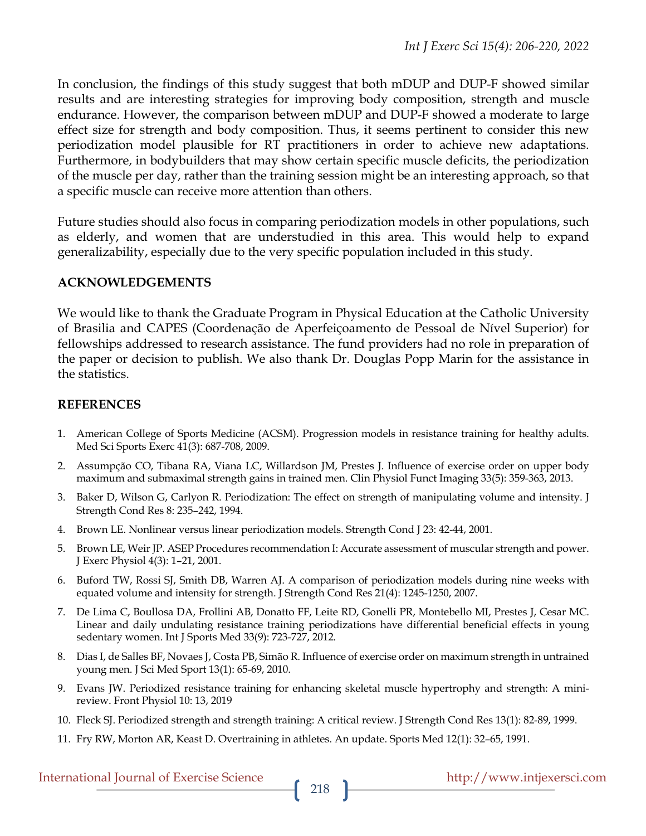In conclusion, the findings of this study suggest that both mDUP and DUP-F showed similar results and are interesting strategies for improving body composition, strength and muscle endurance. However, the comparison between mDUP and DUP-F showed a moderate to large effect size for strength and body composition. Thus, it seems pertinent to consider this new periodization model plausible for RT practitioners in order to achieve new adaptations. Furthermore, in bodybuilders that may show certain specific muscle deficits, the periodization of the muscle per day, rather than the training session might be an interesting approach, so that a specific muscle can receive more attention than others.

Future studies should also focus in comparing periodization models in other populations, such as elderly, and women that are understudied in this area. This would help to expand generalizability, especially due to the very specific population included in this study.

### **ACKNOWLEDGEMENTS**

We would like to thank the Graduate Program in Physical Education at the Catholic University of Brasilia and CAPES (Coordenação de Aperfeiçoamento de Pessoal de Nível Superior) for fellowships addressed to research assistance. The fund providers had no role in preparation of the paper or decision to publish. We also thank Dr. Douglas Popp Marin for the assistance in the statistics.

### **REFERENCES**

- 1. American College of Sports Medicine (ACSM). Progression models in resistance training for healthy adults. Med Sci Sports Exerc 41(3): 687-708, 2009.
- 2. Assumpção CO, Tibana RA, Viana LC, Willardson JM, Prestes J. Influence of exercise order on upper body maximum and submaximal strength gains in trained men. Clin Physiol Funct Imaging 33(5): 359-363, 2013.
- 3. Baker D, Wilson G, Carlyon R. Periodization: The effect on strength of manipulating volume and intensity. J Strength Cond Res 8: 235–242, 1994.
- 4. Brown LE. Nonlinear versus linear periodization models. Strength Cond J 23: 42-44, 2001.
- 5. Brown LE, Weir JP. ASEP Procedures recommendation I: Accurate assessment of muscular strength and power. J Exerc Physiol 4(3): 1–21, 2001.
- 6. Buford TW, Rossi SJ, Smith DB, Warren AJ. A comparison of periodization models during nine weeks with equated volume and intensity for strength. J Strength Cond Res 21(4): 1245-1250, 2007.
- 7. De Lima C, Boullosa DA, Frollini AB, Donatto FF, Leite RD, Gonelli PR, Montebello MI, Prestes J, Cesar MC. Linear and daily undulating resistance training periodizations have differential beneficial effects in young sedentary women. Int J Sports Med 33(9): 723-727, 2012.
- 8. Dias I, de Salles BF, Novaes J, Costa PB, Simão R. Influence of exercise order on maximum strength in untrained young men. J Sci Med Sport 13(1): 65-69, 2010.
- 9. Evans JW. Periodized resistance training for enhancing skeletal muscle hypertrophy and strength: A minireview. Front Physiol 10: 13, 2019
- 10. Fleck SJ. Periodized strength and strength training: A critical review. J Strength Cond Res 13(1): 82-89, 1999.
- 11. Fry RW, Morton AR, Keast D. Overtraining in athletes. An update. Sports Med 12(1): 32–65, 1991.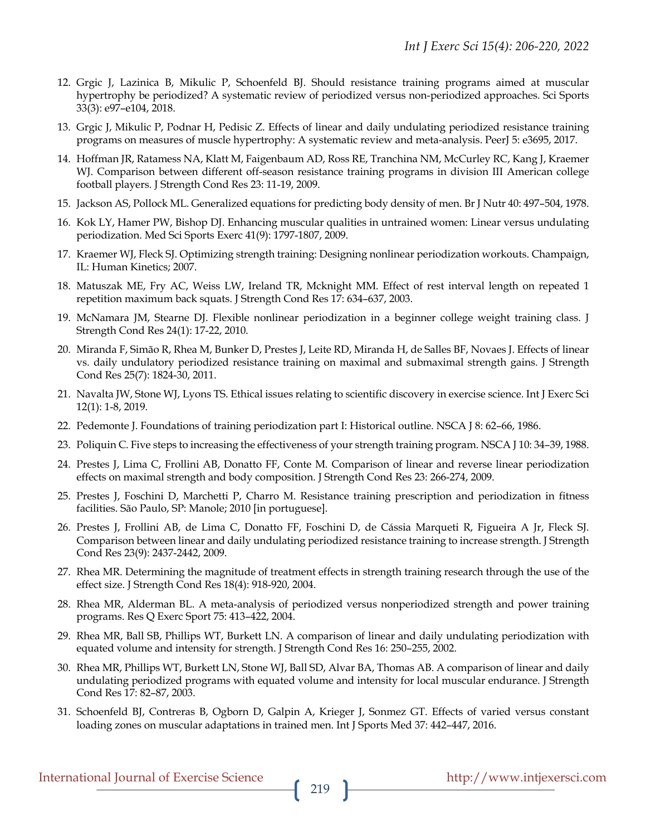- 12. Grgic J, Lazinica B, Mikulic P, Schoenfeld BJ. Should resistance training programs aimed at muscular hypertrophy be periodized? A systematic review of periodized versus non-periodized approaches. Sci Sports 33(3): e97–e104, 2018.
- 13. Grgic J, Mikulic P, Podnar H, Pedisic Z. Effects of linear and daily undulating periodized resistance training programs on measures of muscle hypertrophy: A systematic review and meta-analysis. PeerJ 5: e3695, 2017.
- 14. Hoffman JR, Ratamess NA, Klatt M, Faigenbaum AD, Ross RE, Tranchina NM, McCurley RC, Kang J, Kraemer WJ. Comparison between different off-season resistance training programs in division III American college football players. J Strength Cond Res 23: 11-19, 2009.
- 15. Jackson AS, Pollock ML. Generalized equations for predicting body density of men. Br J Nutr 40: 497–504, 1978.
- 16. Kok LY, Hamer PW, Bishop DJ. Enhancing muscular qualities in untrained women: Linear versus undulating periodization. Med Sci Sports Exerc 41(9): 1797-1807, 2009.
- 17. Kraemer WJ, Fleck SJ. Optimizing strength training: Designing nonlinear periodization workouts. Champaign, IL: Human Kinetics; 2007.
- 18. Matuszak ME, Fry AC, Weiss LW, Ireland TR, Mcknight MM. Effect of rest interval length on repeated 1 repetition maximum back squats. J Strength Cond Res 17: 634–637, 2003.
- 19. McNamara JM, Stearne DJ. Flexible nonlinear periodization in a beginner college weight training class. J Strength Cond Res 24(1): 17-22, 2010.
- 20. Miranda F, Simão R, Rhea M, Bunker D, Prestes J, Leite RD, Miranda H, de Salles BF, Novaes J. Effects of linear vs. daily undulatory periodized resistance training on maximal and submaximal strength gains. J Strength Cond Res 25(7): 1824-30, 2011.
- 21. Navalta JW, Stone WJ, Lyons TS. Ethical issues relating to scientific discovery in exercise science. Int J Exerc Sci 12(1): 1-8, 2019.
- 22. Pedemonte J. Foundations of training periodization part I: Historical outline. NSCA J 8: 62–66, 1986.
- 23. Poliquin C. Five steps to increasing the effectiveness of your strength training program. NSCA J 10: 34–39, 1988.
- 24. Prestes J, Lima C, Frollini AB, Donatto FF, Conte M. Comparison of linear and reverse linear periodization effects on maximal strength and body composition. J Strength Cond Res 23: 266-274, 2009.
- 25. Prestes J, Foschini D, Marchetti P, Charro M. Resistance training prescription and periodization in fitness facilities. São Paulo, SP: Manole; 2010 [in portuguese].
- 26. Prestes J, Frollini AB, de Lima C, Donatto FF, Foschini D, de Cássia Marqueti R, Figueira A Jr, Fleck SJ. Comparison between linear and daily undulating periodized resistance training to increase strength. J Strength Cond Res 23(9): 2437-2442, 2009.
- 27. Rhea MR. Determining the magnitude of treatment effects in strength training research through the use of the effect size. J Strength Cond Res 18(4): 918-920, 2004.
- 28. Rhea MR, Alderman BL. A meta-analysis of periodized versus nonperiodized strength and power training programs. Res Q Exerc Sport 75: 413–422, 2004.
- 29. Rhea MR, Ball SB, Phillips WT, Burkett LN. A comparison of linear and daily undulating periodization with equated volume and intensity for strength. J Strength Cond Res 16: 250–255, 2002.
- 30. Rhea MR, Phillips WT, Burkett LN, Stone WJ, Ball SD, Alvar BA, Thomas AB. A comparison of linear and daily undulating periodized programs with equated volume and intensity for local muscular endurance. J Strength Cond Res 17: 82–87, 2003.
- 31. Schoenfeld BJ, Contreras B, Ogborn D, Galpin A, Krieger J, Sonmez GT. Effects of varied versus constant loading zones on muscular adaptations in trained men. Int J Sports Med 37: 442–447, 2016.